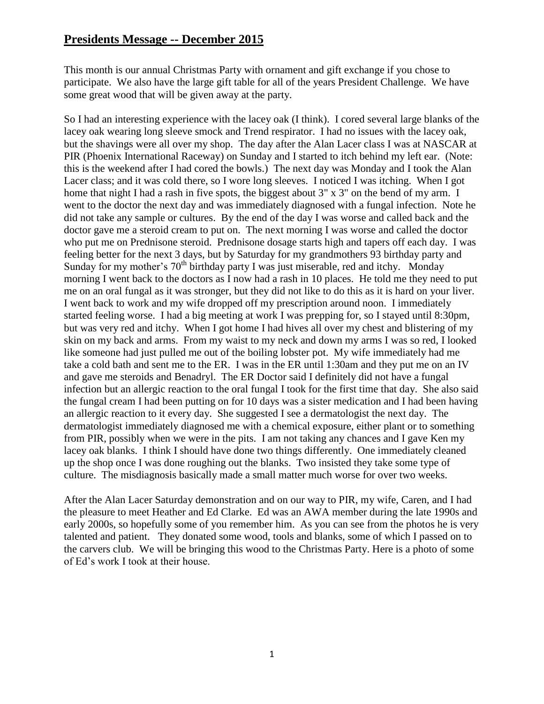This month is our annual Christmas Party with ornament and gift exchange if you chose to participate. We also have the large gift table for all of the years President Challenge. We have some great wood that will be given away at the party.

So I had an interesting experience with the lacey oak (I think). I cored several large blanks of the lacey oak wearing long sleeve smock and Trend respirator. I had no issues with the lacey oak, but the shavings were all over my shop. The day after the Alan Lacer class I was at NASCAR at PIR (Phoenix International Raceway) on Sunday and I started to itch behind my left ear. (Note: this is the weekend after I had cored the bowls.) The next day was Monday and I took the Alan Lacer class; and it was cold there, so I wore long sleeves. I noticed I was itching. When I got home that night I had a rash in five spots, the biggest about 3" x 3" on the bend of my arm. I went to the doctor the next day and was immediately diagnosed with a fungal infection. Note he did not take any sample or cultures. By the end of the day I was worse and called back and the doctor gave me a steroid cream to put on. The next morning I was worse and called the doctor who put me on Prednisone steroid. Prednisone dosage starts high and tapers off each day. I was feeling better for the next 3 days, but by Saturday for my grandmothers 93 birthday party and Sunday for my mother's  $70<sup>th</sup>$  birthday party I was just miserable, red and itchy. Monday morning I went back to the doctors as I now had a rash in 10 places. He told me they need to put me on an oral fungal as it was stronger, but they did not like to do this as it is hard on your liver. I went back to work and my wife dropped off my prescription around noon. I immediately started feeling worse. I had a big meeting at work I was prepping for, so I stayed until 8:30pm, but was very red and itchy. When I got home I had hives all over my chest and blistering of my skin on my back and arms. From my waist to my neck and down my arms I was so red, I looked like someone had just pulled me out of the boiling lobster pot. My wife immediately had me take a cold bath and sent me to the ER. I was in the ER until 1:30am and they put me on an IV and gave me steroids and Benadryl. The ER Doctor said I definitely did not have a fungal infection but an allergic reaction to the oral fungal I took for the first time that day. She also said the fungal cream I had been putting on for 10 days was a sister medication and I had been having an allergic reaction to it every day. She suggested I see a dermatologist the next day. The dermatologist immediately diagnosed me with a chemical exposure, either plant or to something from PIR, possibly when we were in the pits. I am not taking any chances and I gave Ken my lacey oak blanks. I think I should have done two things differently. One immediately cleaned up the shop once I was done roughing out the blanks. Two insisted they take some type of culture. The misdiagnosis basically made a small matter much worse for over two weeks.

After the Alan Lacer Saturday demonstration and on our way to PIR, my wife, Caren, and I had the pleasure to meet Heather and Ed Clarke. Ed was an AWA member during the late 1990s and early 2000s, so hopefully some of you remember him. As you can see from the photos he is very talented and patient. They donated some wood, tools and blanks, some of which I passed on to the carvers club. We will be bringing this wood to the Christmas Party. Here is a photo of some of Ed's work I took at their house.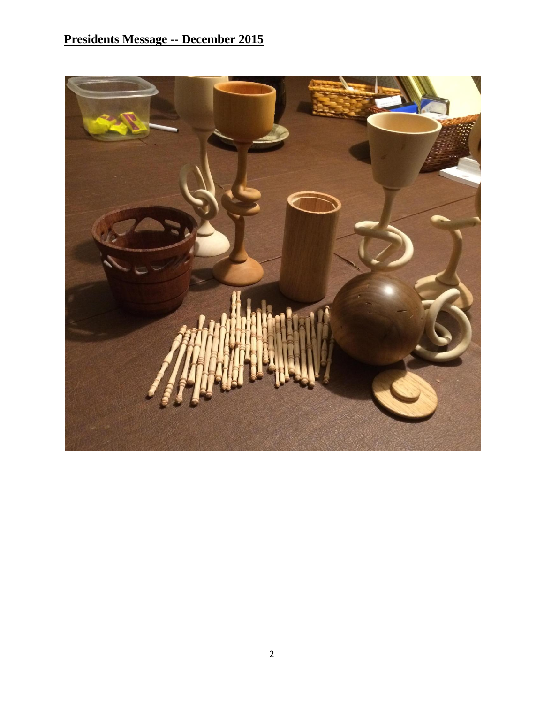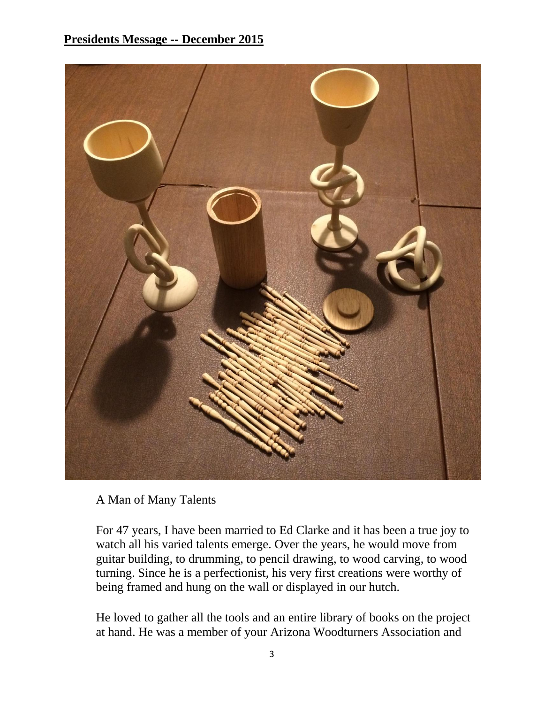

A Man of Many Talents

For 47 years, I have been married to Ed Clarke and it has been a true joy to watch all his varied talents emerge. Over the years, he would move from guitar building, to drumming, to pencil drawing, to wood carving, to wood turning. Since he is a perfectionist, his very first creations were worthy of being framed and hung on the wall or displayed in our hutch.

He loved to gather all the tools and an entire library of books on the project at hand. He was a member of your Arizona Woodturners Association and